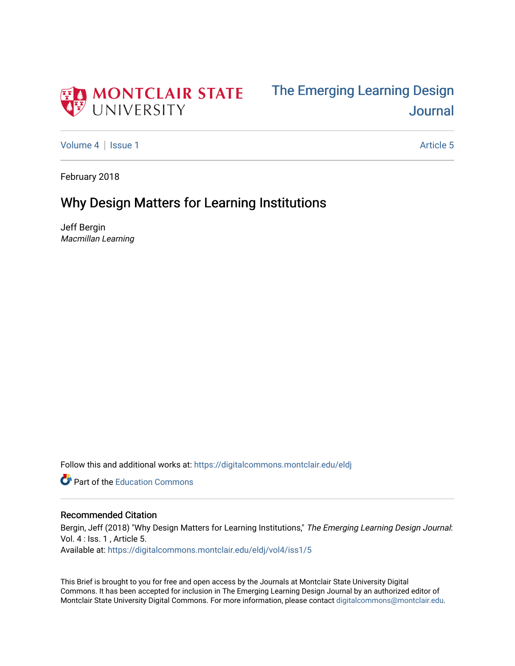



[Volume 4](https://digitalcommons.montclair.edu/eldj/vol4) | [Issue 1](https://digitalcommons.montclair.edu/eldj/vol4/iss1) Article 5

February 2018

## Why Design Matters for Learning Institutions

Jeff Bergin Macmillan Learning

Follow this and additional works at: [https://digitalcommons.montclair.edu/eldj](https://digitalcommons.montclair.edu/eldj?utm_source=digitalcommons.montclair.edu%2Feldj%2Fvol4%2Fiss1%2F5&utm_medium=PDF&utm_campaign=PDFCoverPages)

**C** Part of the [Education Commons](http://network.bepress.com/hgg/discipline/784?utm_source=digitalcommons.montclair.edu%2Feldj%2Fvol4%2Fiss1%2F5&utm_medium=PDF&utm_campaign=PDFCoverPages)

#### Recommended Citation

Bergin, Jeff (2018) "Why Design Matters for Learning Institutions," The Emerging Learning Design Journal: Vol. 4 : Iss. 1 , Article 5. Available at: [https://digitalcommons.montclair.edu/eldj/vol4/iss1/5](https://digitalcommons.montclair.edu/eldj/vol4/iss1/5?utm_source=digitalcommons.montclair.edu%2Feldj%2Fvol4%2Fiss1%2F5&utm_medium=PDF&utm_campaign=PDFCoverPages) 

This Brief is brought to you for free and open access by the Journals at Montclair State University Digital Commons. It has been accepted for inclusion in The Emerging Learning Design Journal by an authorized editor of Montclair State University Digital Commons. For more information, please contact [digitalcommons@montclair.edu.](mailto:digitalcommons@montclair.edu)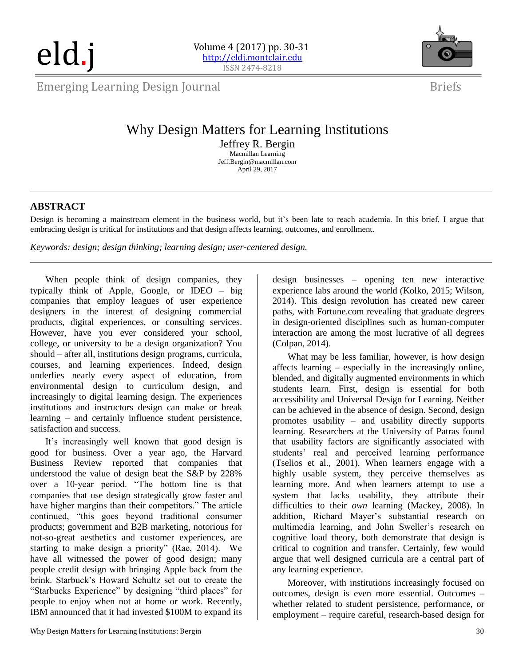eld.j



Emerging Learning Design Journal

Briefs

## Why Design Matters for Learning Institutions

Jeffrey R. Bergin Macmillan Learning Jeff.Bergin@macmillan.com April 29, 2017

#### **ABSTRACT**

Design is becoming a mainstream element in the business world, but it's been late to reach academia. In this brief, I argue that embracing design is critical for institutions and that design affects learning, outcomes, and enrollment.

*Keywords: design; design thinking; learning design; user-centered design.*

When people think of design companies, they typically think of Apple, Google, or IDEO – big companies that employ leagues of user experience designers in the interest of designing commercial products, digital experiences, or consulting services. However, have you ever considered your school, college, or university to be a design organization? You should – after all, institutions design programs, curricula, courses, and learning experiences. Indeed, design underlies nearly every aspect of education, from environmental design to curriculum design, and increasingly to digital learning design. The experiences institutions and instructors design can make or break learning – and certainly influence student persistence, satisfaction and success.

It's increasingly well known that good design is good for business. Over a year ago, the Harvard Business Review reported that companies that understood the value of design beat the S&P by 228% over a 10-year period. "The bottom line is that companies that use design strategically grow faster and have higher margins than their competitors." The article continued, "this goes beyond traditional consumer products; government and B2B marketing, notorious for not-so-great aesthetics and customer experiences, are starting to make design a priority" (Rae, 2014). We have all witnessed the power of good design; many people credit design with bringing Apple back from the brink. Starbuck's Howard Schultz set out to create the "Starbucks Experience" by designing "third places" for people to enjoy when not at home or work. Recently, IBM announced that it had invested \$100M to expand its 2014). This design revolution has created new career paths, with Fortune.com revealing that graduate degrees in design-oriented disciplines such as human-computer interaction are among the most lucrative of all degrees (Colpan, 2014). What may be less familiar, however, is how design

design businesses – opening ten new interactive experience labs around the world (Kolko, 2015; Wilson,

affects learning – especially in the increasingly online, blended, and digitally augmented environments in which students learn. First, design is essential for both accessibility and Universal Design for Learning. Neither can be achieved in the absence of design. Second, design promotes usability – and usability directly supports learning. Researchers at the University of Patras found that usability factors are significantly associated with students' real and perceived learning performance (Tselios et al., 2001). When learners engage with a highly usable system, they perceive themselves as learning more. And when learners attempt to use a system that lacks usability, they attribute their difficulties to their *own* learning (Mackey, 2008). In addition, Richard Mayer's substantial research on multimedia learning, and John Sweller's research on cognitive load theory, both demonstrate that design is critical to cognition and transfer. Certainly, few would argue that well designed curricula are a central part of any learning experience.

Moreover, with institutions increasingly focused on outcomes, design is even more essential. Outcomes – whether related to student persistence, performance, or employment – require careful, research-based design for